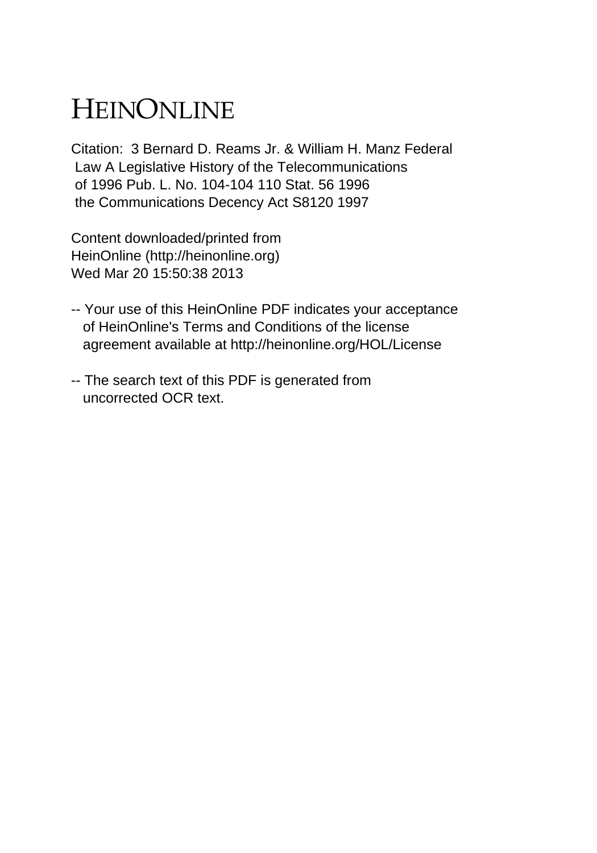# HEINONLINE

Citation: 3 Bernard D. Reams Jr. & William H. Manz Federal Law A Legislative History of the Telecommunications of 1996 Pub. L. No. 104-104 110 Stat. 56 1996 the Communications Decency Act S8120 1997

Content downloaded/printed from HeinOnline (http://heinonline.org) Wed Mar 20 15:50:38 2013

- -- Your use of this HeinOnline PDF indicates your acceptance of HeinOnline's Terms and Conditions of the license agreement available at http://heinonline.org/HOL/License
- -- The search text of this PDF is generated from uncorrected OCR text.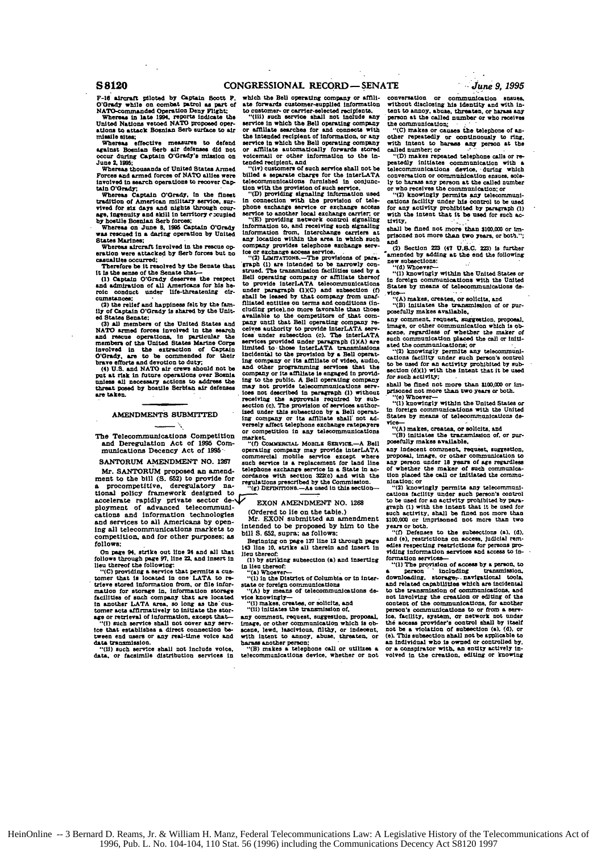**F-16** aircraft piloted **by** Captain Scott **P.** which the Bll operating company or afflil-O'Grady while on combat PatrsI **as** part **of** ate forwards customer-eupplied information NATO-commanded Operation **Deny** *light;* to customer- or carrier-selected recipients.

United Nations vetoed **NATO proposed** oper- service In which the **Bell** operating company **ations** to attack Bosnian Serb surface to **air** or **afllate** searches for **and** concects with missile sites: the intended recipient of Information, or any

against Bosnian Serb air defenses did not or affiliate automatically forwards stored correct during Captain O'Grady's mission on voicernali or other information to the in-<br>June 2, 1985; the correct of the correct correct o rainst Bomian Berb air celemes did not or allulate automatically forwards stored<br>ccur during Captain O'Grady's mission on voicemail or other information to the in-<br>me 2, 1985;<br>Whereas thousands of United States Armed 6. "(

Forces and armed forces of **NATO** allies were involved in search operations to recover Capinvolved in search operations to recover Cap-telecommunications furnished in conjunc-<br>tain O'Grady, particle is to the the movision of such service,<br>Whereas Captain O'Grady, in the finest "(D) providing signaling informati

tradition of American military service, sur- in connection with the provision of tele-<br>vived for six days and nights through cour- phone exchange service or exchange access<br>age, ingenuity and skill in territory coupled ser

**was** rescued in **a** daring operation by United Information from, interchange carriers at

eration were attacked by Serb forces but no casualties occurred:

**and** admiration of **all** Americans for his **he-** to provide InterLATA telecommunications

and rescue operations. In particular the **lcss** under subsection (c). The interLATA members **of** the United States MarIns Corps services provided under **paragraph** (1)(A) **are** Involved **In** the extraction **of** Captain limited to those lnterLATA **trnsmissions**

unless all necessary actions to address the ing to the public. A Bell operating company threat posed by hostile Serbian air defenses may not provide telecommunications served

The Telecommunications Competition of compensation is and Deregulation Act of 1995 **Corn-** "(f) Compensation Act of 1995 **Cornel of Cornel of Cornel of Cornel of Cornel of Cornel and Deregulations of cornel of corner and p** 

a procompetitive, deregulatory na-<br>tional policy framework designed to accelerate rapidly private sector de- $\sqrt{\frac{\text{EXON AMENDMENT NO. 1268}}{\text{END MENDMENT NO. 1268}}}$ ployment of advanced detecommuni-<br>cations and information technologies Mr. EXON submitted an amendment Ing all telecommunications markets to intended to be proposed by him to the competition, and for other purposes; as bill S. 652, supra; as follows:<br>
follows:<br>
follows:<br> **S. 143** and all that is a intervention of the partic competition, and for other purposes; as

follows: On page 94, strike out line 24 and all that 143 line 10, strike all therein and insert in follows through page 97, line 22, and insert in leu thereof: the follows flex of colored in the strike of Columbia or in it intervention for the information form, or file informed the access of order and the matter three stored information from the informed "(A) by means of telecommunications definition for stores are the control of the same of

whereas **in the service construction**<br>to customer-or carrier-selected recipients,<br>"(iii) such service shall not include any<br>service in which the Bell operating company

Whereas effective measures to defend service In which the Bell operating company

**by** hostile Bosnian **Serb** forces; **"(E)** providing network control **signaling** Whereas **on June 8. 1995** Captain O'Orady Information to. and receiving such signaling States Marines; **any** location within the area in which **such** Whereas aircraft Involved in the **remcue** op. company provides telephone exchange serv-

casualties Occurred; "(2) 1 srrA7oNS.-The Provisions **Of** Pain- Therefore be it resolved **by** the Senate that **graph (1) are** Intended to be narrowly con-It is the sense of the Senate that- strued. The transmission facilities used by a **(1)** Captain O'Grady deserves the respect Bell operating company or affiliate thereof roic conduct under life-threatening cir-<br>cumstances: shall be lessed by that company from una-<br>cumstances: shall be lessed by that company from un-(2) the relief and happiness felt by the fam. fliated entities on terms and conditions (including the local conditions) of Captain O'Grady is shared by the Unit-<br>disting price), no more favorable than those of States Senat **O'Orady, are** to be commended for their Incidental to the provision **by a Bell** operat-brave efforts **and** devotion to **duty;** ing company or Ite affiliate of video, **audio.** es and NATO air crews should not be and other programming services that the (4) U.S. and NATO air crews should not be and other programming services that the put at risk in future operations over Bosnia company or its affi **are** take, **ices** not described In paragraph **(I)** without **receiving** the approvals required **by** subsection (c). The provision of services author-<br>
AMENDMENTS SUBMITTED<br>
ing company or its affiliate shall operation<br>
versely affect telephone exchange rate<br>payers<br>
The Telecommunications Competition or competition is any te

munications Decency Act of 1995 operating company may provide interLATA<br>SANTORUM AMENDMENT NO. 1267 commercial mobile service is a replacement for land line<br>Mr. SANTORUM proposed an amend-<br>tote bill (S. 652) to provide for

and services to all Americans **by** open- Mr. EXON submitted an amendment

conversation or communication snsues, without disclosing his identity and with the langly abund the cause of the cause of the cause of the cause of the communication; "(C) makes or causes the telephone of another repeatedl

values only person as the person are defined in the person of the contracted telecommunications derived by the contracted contracted contracted contracted contracted contracted of the contracted of the contraction of the c

shall **be** fined not **mor** than **SI0.000** or im- prisoned not more than two **years, or** both.";

and (3) Section 223 (47 U.S.C. 223) is further<br>arended by adding at the end the following<br>new subsections:<br>"(4) Whower-<br>"(1) Whow and the United States or<br>"(1) Whow is allowed by the United States of<br>States by means of tel

**"(A)** makes, creates, or solicits, **and "(B)** Initiates the transmission of or **pur-** posefully makes **available.**

presument. request. suggestion. proposal.<br>image. or other communication which is obsene. regardless of whether the maker of<br>such communication placed the call or initi-

sue communications one can or interested the communications of the state and the calculation of the calculation of the state of the state of the state of the state of the state of the state of the state of the state of the

prisoned not more than two years or both.<br>
"(e) Whosver-<br>
"(1) knowingly within the United States or<br>
"(1) knowingly within the United States or<br>
In foreign communications with the United<br>
States by means of telecommunica

**"(A)** makes, creates, or sollcito. **and** "(B) initiates the transmission of. or **pur. posfully** makes avaliable.

Any indecent comment, request, suggestion, proposal, image, or other communication to any person under 18 years of age regardless of whether the maker of such communica-

tion placed the call or initiated the communication<br>is the call or initiated the communication; or initiated the communication;<br> $(2)$  knowingly permits any telecommunication is control permit () with the intent that it to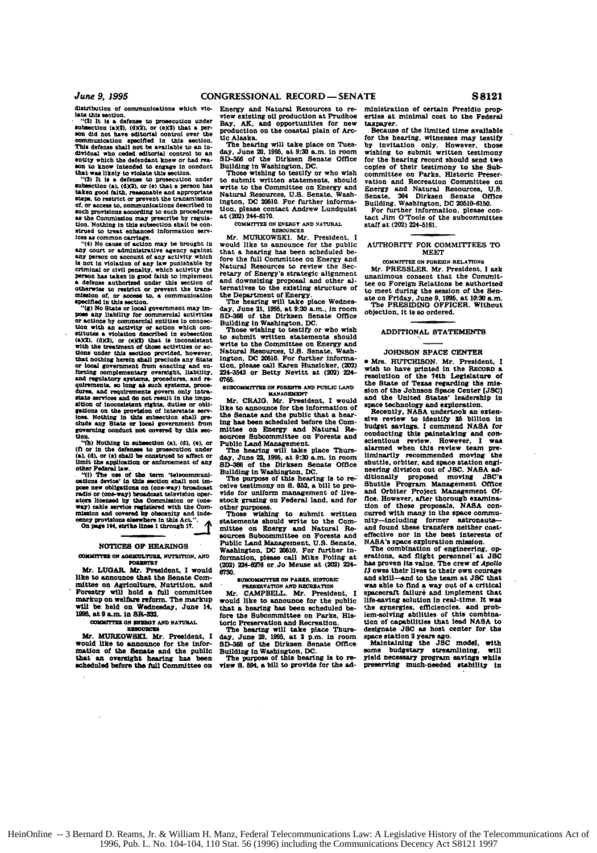distribution **of** communications which **vio-**

late this section.<br>"(2) It is a defense to prosecution under<br>subsection (a)(2),  $(3/2)$ , or  $(9/2)$  that a per-<br>son did not have editorial control over the<br>communication specified in this section.<br>This defense shall not b **dividual** who **ceded** editorial control to **an** entity which the defendant knew or **had rea-**

son to know intended to engage in conduct<br>that was likely to violate this section.<br>"(3) It is a defense to prosecution under<br>subsection (a), (d)(3), or (o) that a person has<br>taken good faith, reasonable and appropriate<br>ter such provisions according to such procedures as the Commission may prescribe **by** regula-tion. Nothing **In** this subsection shall be con-

strued to treat enhanced information serv-<br>loss as common carriage.<br>"(4) No cause of action may be brought in<br>any court or administrative agency against<br>any person on account of any activity which is not in violation of any law punishable by<br>criminal or cluvi penalty, which activity the external proof (at the burstler)<br>person has taken in good (at the tot injecture of the section of<br>otherwise to restrict or prevent

(a)(2),  $(d)(2)$ , or  $(e)(2)$  that is inconsistent<br>with the tractment of those activities or ac-<br>tions under this section provided, however,<br>that nothing herein shall preciude any State of<br>the for the order or local governmen dures, and requirements govern only intra-<br>state services and do not result in the impo-<br>station of inconsistent right, duties or obli-<br>station of inconsistent right, duties or obli-<br>grations on the provision of interstate

**"(h)** Nothing In subsection **(a). (d). (e).** or (f) or in the defenses to prosecution under<br>the fall be constructed to first or pulsation in the limit the application or an<br>forcement of any limit the application or antorcement of any<br>other Pederal law.<br> $\sim$  10. The use

radio or (one-way) broadcast television operators licensed by the Commission or (one-way) cable service registered with the Commission and covered by obscenity and independently and independent in this Act.".<br>One provisions also wise the concept provision of the Act

## **NOTICES OF HEARINGS**

**COMMITTEE ON AGRICULTURE, NUTRITION, AND** 

Mr. **LUGAR.** Mr. President. **I** would **like** to announce that the Senate Cornmttee on Agriculture. Nutrition, and Forestry will **hold a** full committee markup on welfmre reform. The markup will be. **held on** Wednesday. June **14.** 1996, at 9 a.m. in SR-332.

# **COMMITTEE ON ENERGY AND NATURAL RESOURCES**

**Mr.** MURKOWSKL **Mr.** President. **I** would **like** to announce for the information of the Senate and the public that **an** oversight hearing has been scheduled before the **full** Committee on

Energy and Natural Resources to re- view existing oil production at Prudhoe Bay. **AK.** and opportunities for new production on the coastal plain of Arc-

tic Alaska. The **hearing** will take place on Tues-day. June 20. **1996.** at **9:30** a.m. **in** room **SD-366** of the Dlrkaen Senate Office

Building in Washington, *DC.*<br>Those wishing to testify or who wish<br>to submit written statements, should to submit written statements, should write to the Committee on Energy and Natural Resources, **U.S.** Senate. Wash-ington. *DC* 20610. For further information. please contact Andrew Lundquist at (202) 244-6170.<br>contact the second state of the state of the state of the state state of the state of the state of the state of

**COMMITTES ON ENGINE TAND NATURAL RESOURCES**<br>Mr. MURKOWSKI, Mr. President. Mr. MURKOWSKI. Mr. President. I would like to announce for the public that **a** hearing has been scheduled be-fore the full Committee on Energy and Natural Resources to review the Sec-<br>retary of Energy's strategic alignment retary of Energy's strategic **alignment** and downsizing proposal and other **al-**ternatives to the existing structure **of** the Department of Energy. The hearing will take place Wednes-

day, June *21.* **1996.** at **9:30** a.m.. In room **SD-366** of the Dirksen Senate Office

Building in Washington. **DC.** Those wishing to testify or who wish to submit written statements should write to the Committee on Energy and Natural Resources. **U.S.** Senate. Washington, **DC** 20510. For further informa- **tion.** plesse call Karen Hunsicker. **(202)** 224-3543 or Betty Nevitt at (202) 224- **0766.**

SUBcoMMIrrE **ON** OsRTS **AN PUsLIC LAND**

Mr. CRAIG. **Mr.** President. I would **like** to announce for the information of the Senate and the public that a hear-ing has been scheduled before the Committee on Energy and Natural Re- sources Subcommittee on Forests and

Public Land Management. The hearing will take **place** Thurs-**day.** June 22, **1995,** at **9:30 a.m.** in room SD-M of the Dirksen Senate Office Building in Washington. DC.<br>The purpose of this hearing is to re-

ceive testimony on S. 852, a bill to provide for uniform management of livestock grazing on Federal land, and for other purposes.

other purposes.<br>Those wishing to submit written<br>statements should write to the Com-<br>mittee on Energy and Natural Resources Subcommittee on Forests and<br>Public Land Management, U.S. Senate, Washington, DC 20610. For further information, please call Mike Poling at<br>formation, please call Mike Poling at<br>2720 224-8276 or Jo Meuse at (202) 22

## *BUBCOMMITTES ON PARKS, HISTORIC*

**PRESERVATION AND RECREATION**<br>Mr. CAMPBELL. Mr. President, I<br>would like to announce for the public that a hearing has been scheduled before the Subcommittee on Parks. **His-**

**toric** Preservation and Recreation. The hearing will take place Thurs- day, June **20. 1995.** at 2 p.m. in room **SD-3M** of the Dirkson Senate Office Building in Washington. **DC.** The purpose of this hearing is to re-

view **S. 94 a bill** to provide **for** the **ad-**

ministration of certain Presidio properties at minimal cost to the Federal<br>taxpayer.

Because of the limited time available for the hearing, witnesses may testify<br>by invitation only. However, those **by** invitation only. However, those wishing to submit written testimony for the hearing record should send two copies of their testimony to the Sub-<br>committee on Parks, Historic Presercommittee on Parks, Historic Preservation and Recreation Committee on<br>Energy and Natural Resources, U.S.<br>Senate, 364 Dirksen Senate Office<br>Building, Washington, DC 20510-6150.<br>For further information. please con-

tact Jim O'Toole of the subcommittee staff at  $(202)$  224-5161.

# AUTHORITY FOR **COMMITTEES** TO **MEET**

**N** FOREION REL Mr. PRESSLER. Mr. President. **I** ask unanimous consent that the Committee on Foreign Relations be authorized to meet during the session of the Senate on Friday, June **9, 1996,** at **i0:30** a.m. The **PRESIDING** OFFICER. Without objection. it **Is** so ordered.

### **ADDITIONAL STATEMENTS**

**JOHNSON SPACE CENTER**<br>• Mrs. HUTCHISON. Mr. President, I wish to have printed in the RECORD **a** resolution of the 74th Legislature of resolution of the 14th Legislature of<br>the State of Texas regarding the mis-<br>sion of the Johnson Space Center [JSC]

sion of the Johnson Space Center (JSC)<br>and the United States' leadership in<br>space technology and exploration.<br>Recently, NASA undertook an extending<br>sive review to identify the simple state of the budget savings. I commend attering when they becommended moving the<br>shuttle, orbiter, and space station engi-<br>neering division out of JSC. NASA additionally proposed moving **JSC's** Shuttle Program Management Office and Orbiter Project Management **Of-**fice. However, after thorough examination of these proposals. **NASA** con-curred with many in the space commucity-including former astronauts-<br>and found these transfers neither costand tour the best interests of NASA's space exploration mission.<br>NASA's space exploration mission.<br>The combination of engineering, op-

erations, and flight personnel at JSC<br>has proven its value. The crew of *Apollo* **13** owes their lives to their own courage and skill--and to the team at **JSC** that was able to find **a** way out of a critical life-saving solution in real-time. It was the synergies. efficiencies, and problem-solving abilities of this combina-tion **of** capabilities that lead **NASA** to designate **JSC as** host center for the space station 2 years ago. Maintaining the **JSC** model, with

some budgetary streamlining. will yield necessary program savings while preserving much-needed stability in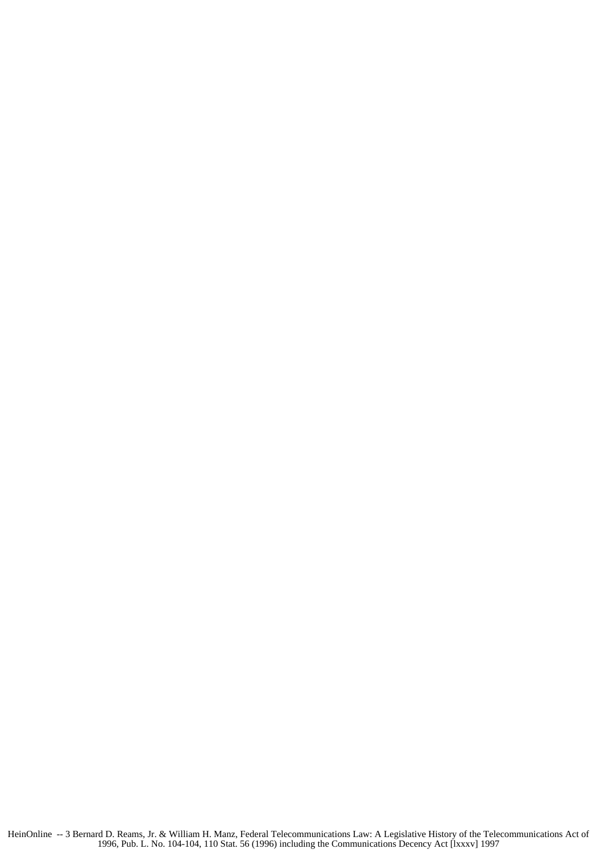HeinOnline -- 3 Bernard D. Reams, Jr. & William H. Manz, Federal Telecommunications Law: A Legislative History of the Telecommunications Act of 1996, Pub. L. No. 104-104, 110 Stat. 56 (1996) including the Communications Decency Act [lxxxv] 1997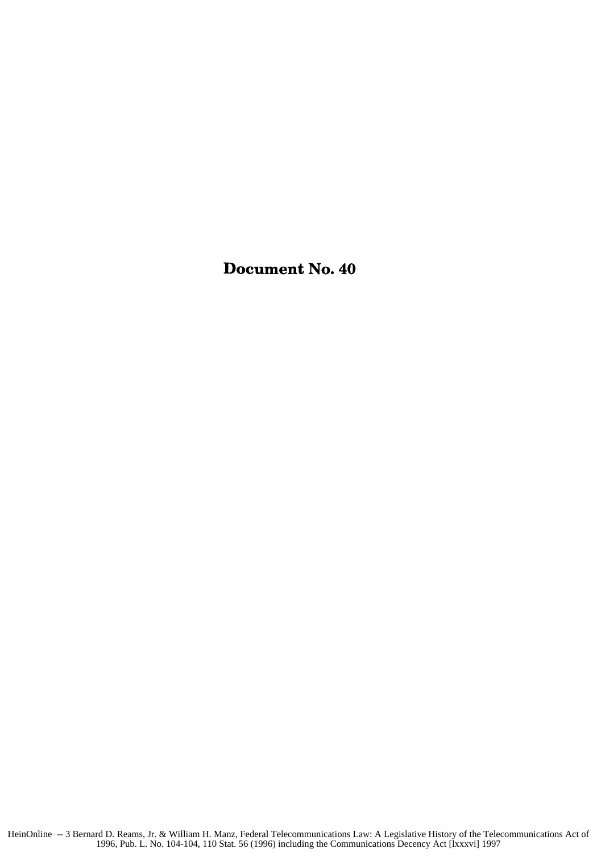Document No. 40